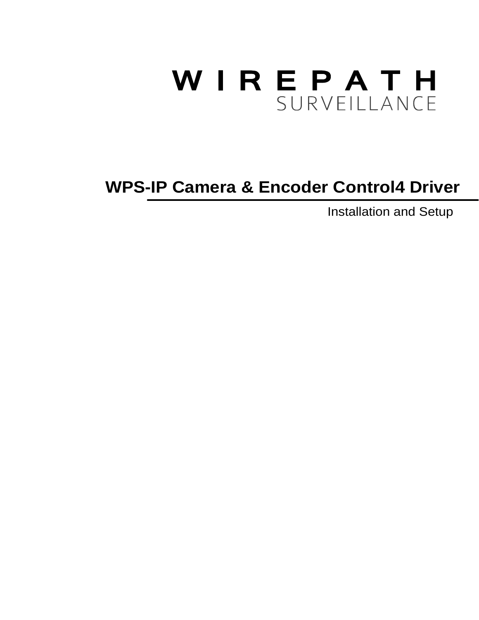# WIREPATH SURVEILLANCE

# Installation and Setup **WPS-IP Camera & Encoder Control4 Driver**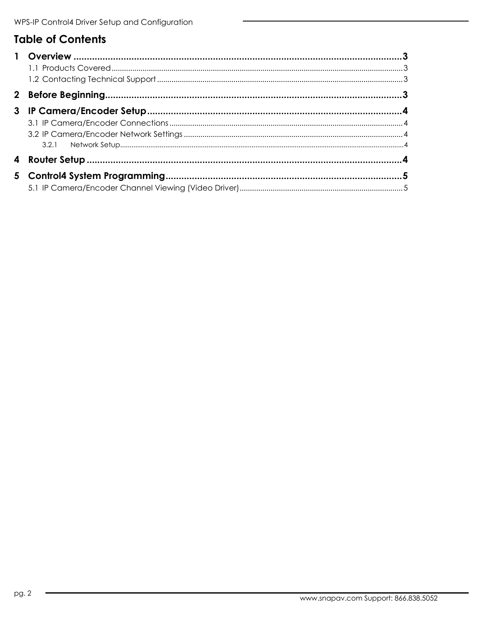# **Table of Contents**

| $\mathbf{2}$ |  |
|--------------|--|
| 3            |  |
|              |  |
|              |  |
|              |  |
|              |  |
|              |  |
|              |  |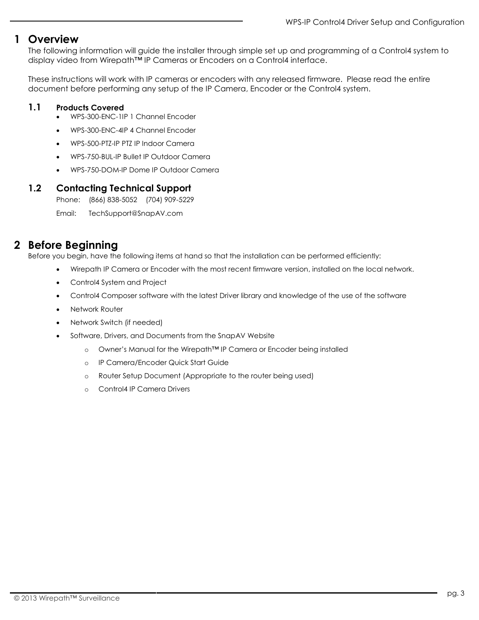## <span id="page-2-0"></span>**1 Overview**

The following information will guide the installer through simple set up and programming of a Control4 system to display video from Wirepath™ IP Cameras or Encoders on a Control4 interface.

These instructions will work with IP cameras or encoders with any released firmware. Please read the entire document before performing any setup of the IP Camera, Encoder or the Control4 system.

#### <span id="page-2-1"></span>**1.1 Products Covered**

- WPS-300-ENC-1IP 1 Channel Encoder
- WPS-300-ENC-4IP 4 Channel Encoder
- WPS-500-PTZ-IP PTZ IP Indoor Camera
- WPS-750-BUL-IP Bullet IP Outdoor Camera
- WPS-750-DOM-IP Dome IP Outdoor Camera

#### <span id="page-2-2"></span>**1.2 Contacting Technical Support**

Phone: (866) 838-5052 (704) 909-5229

Email: TechSupport@SnapAV.com

# <span id="page-2-3"></span>**2 Before Beginning**

Before you begin, have the following items at hand so that the installation can be performed efficiently:

- Wirepath IP Camera or Encoder with the most recent firmware version, installed on the local network.
- Control4 System and Project
- Control4 Composer software with the latest Driver library and knowledge of the use of the software
- Network Router
- Network Switch (if needed)
- Software, Drivers, and Documents from the SnapAV Website
	- o Owner's Manual for the Wirepath™ IP Camera or Encoder being installed
	- o IP Camera/Encoder Quick Start Guide
	- o Router Setup Document (Appropriate to the router being used)
	- o Control4 IP Camera Drivers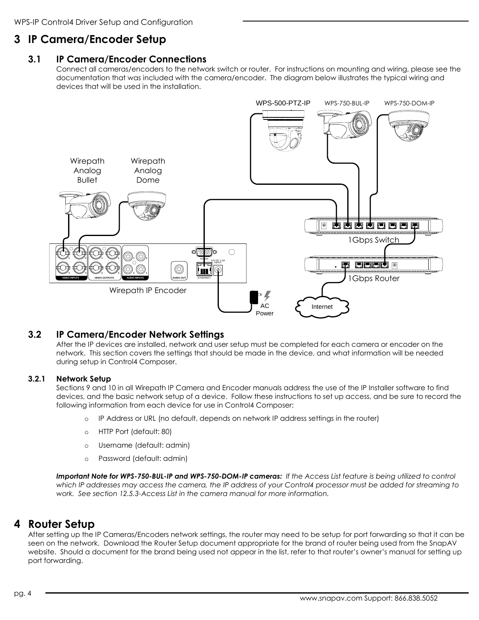# <span id="page-3-1"></span><span id="page-3-0"></span>**3 IP Camera/Encoder Setup**

#### **3.1 IP Camera/Encoder Connections**

Connect all cameras/encoders to the network switch or router. For instructions on mounting and wiring, please see the documentation that was included with the camera/encoder. The diagram below illustrates the typical wiring and devices that will be used in the installation.



#### <span id="page-3-2"></span>**3.2 IP Camera/Encoder Network Settings**

After the IP devices are installed, network and user setup must be completed for each camera or encoder on the network. This section covers the settings that should be made in the device, and what information will be needed during setup in Control4 Composer.

#### <span id="page-3-3"></span>**3.2.1 Network Setup**

Sections 9 and 10 in all Wirepath IP Camera and Encoder manuals address the use of the IP Installer software to find devices, and the basic network setup of a device. Follow these instructions to set up access, and be sure to record the following information from each device for use in Control4 Composer:

- o IP Address or URL (no default, depends on network IP address settings in the router)
- o HTTP Port (default: 80)
- o Username (default: admin)
- o Password (default: admin)

*Important Note for WPS-750-BUL-IP and WPS-750-DOM-IP cameras: If the Access List feature is being utilized to control which IP addresses may access the camera, the IP address of your Control4 processor must be added for streaming to work. See section 12.5.3-Access List in the camera manual for more information.*

# <span id="page-3-4"></span>**4 Router Setup**

After setting up the IP Cameras/Encoders network settings, the router may need to be setup for port forwarding so that it can be seen on the network. Download the Router Setup document appropriate for the brand of router being used from the SnapAV website. Should a document for the brand being used not appear in the list, refer to that router's owner's manual for setting up port forwarding.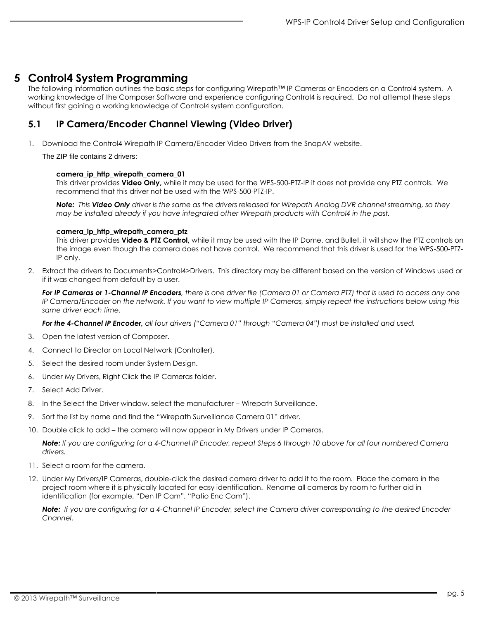### <span id="page-4-0"></span>**5 Control4 System Programming**

The following information outlines the basic steps for configuring Wirepath™ IP Cameras or Encoders on a Control4 system. A working knowledge of the Composer Software and experience configuring Control4 is required. Do not attempt these steps without first gaining a working knowledge of Control4 system configuration.

#### <span id="page-4-1"></span>**5.1 IP Camera/Encoder Channel Viewing (Video Driver)**

1. Download the Control4 Wirepath IP Camera/Encoder Video Drivers from the SnapAV website.

The ZIP file contains 2 drivers:

#### **camera\_ip\_http\_wirepath\_camera\_01**

This driver provides **Video Only,** while it may be used for the WPS-500-PTZ-IP it does not provide any PTZ controls. We recommend that this driver not be used with the WPS-500-PTZ-IP.

*Note: This Video Only driver is the same as the drivers released for Wirepath Analog DVR channel streaming, so they may be installed already if you have integrated other Wirepath products with Control4 in the past.*

#### **camera\_ip\_http\_wirepath\_camera\_ptz**

This driver provides **Video & PTZ Control,** while it may be used with the IP Dome, and Bullet, it will show the PTZ controls on the image even though the camera does not have control. We recommend that this driver is used for the WPS-500-PTZ-IP only.

2. Extract the drivers to Documents>Control4>Drivers. This directory may be different based on the version of Windows used or if it was changed from default by a user.

*For IP Cameras or 1-Channel IP Encoders, there is one driver file (Camera 01 or Camera PTZ) that is used to access any one IP Camera/Encoder on the network. If you want to view multiple IP Cameras, simply repeat the instructions below using this same driver each time.*

*For the 4-Channel IP Encoder, all four drivers ("Camera 01" through "Camera 04") must be installed and used.*

- 3. Open the latest version of Composer.
- 4. Connect to Director on Local Network (Controller).
- 5. Select the desired room under System Design.
- 6. Under My Drivers, Right Click the IP Cameras folder.
- 7. Select Add Driver.
- 8. In the Select the Driver window, select the manufacturer Wirepath Surveillance.
- 9. Sort the list by name and find the "Wirepath Surveillance Camera 01" driver.
- 10. Double click to add the camera will now appear in My Drivers under IP Cameras.

*Note: If you are configuring for a 4-Channel IP Encoder, repeat Steps 6 through 10 above for all four numbered Camera drivers.*

- 11. Select a room for the camera.
- 12. Under My Drivers/IP Cameras, double-click the desired camera driver to add it to the room. Place the camera in the project room where it is physically located for easy identification. Rename all cameras by room to further aid in identification (for example, "Den IP Cam", "Patio Enc Cam").

*Note: If you are configuring for a 4-Channel IP Encoder, select the Camera driver corresponding to the desired Encoder Channel.*